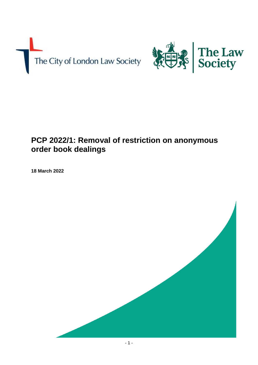



# **PCP 2022/1: Removal of restriction on anonymous order book dealings**

**18 March 2022**